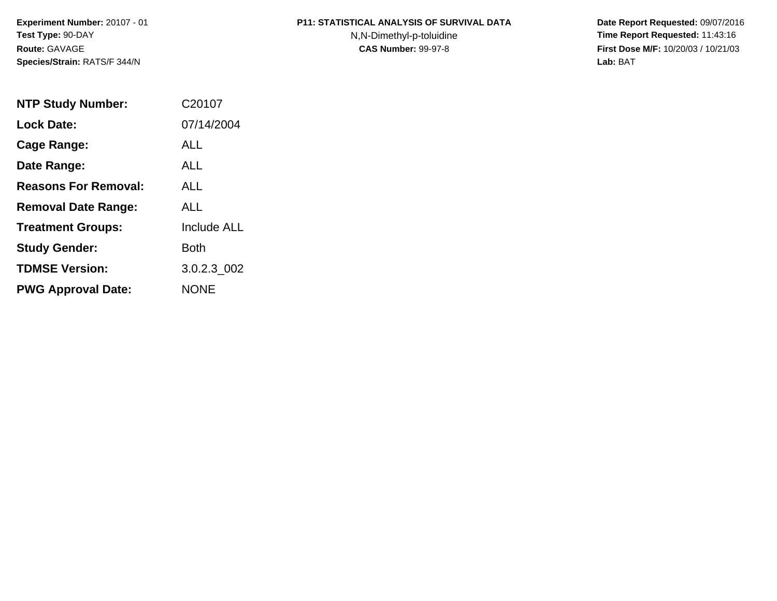### **P11: STATISTICAL ANALYSIS OF SURVIVAL DATA**

N,N-Dimethyl-p-toluidine

 **Date Report Requested:** 09/07/2016 **Time Report Requested:** 11:43:16 **First Dose M/F:** 10/20/03 / 10/21/03<br>**Lab:** BAT **Lab:** BAT

| <b>NTP Study Number:</b>    | C20107             |
|-----------------------------|--------------------|
| <b>Lock Date:</b>           | 07/14/2004         |
| Cage Range:                 | ALL                |
| Date Range:                 | ALL.               |
| <b>Reasons For Removal:</b> | ALL.               |
| <b>Removal Date Range:</b>  | ALL                |
| <b>Treatment Groups:</b>    | <b>Include ALL</b> |
| <b>Study Gender:</b>        | Both               |
| <b>TDMSE Version:</b>       | 3.0.2.3 002        |
| <b>PWG Approval Date:</b>   | <b>NONE</b>        |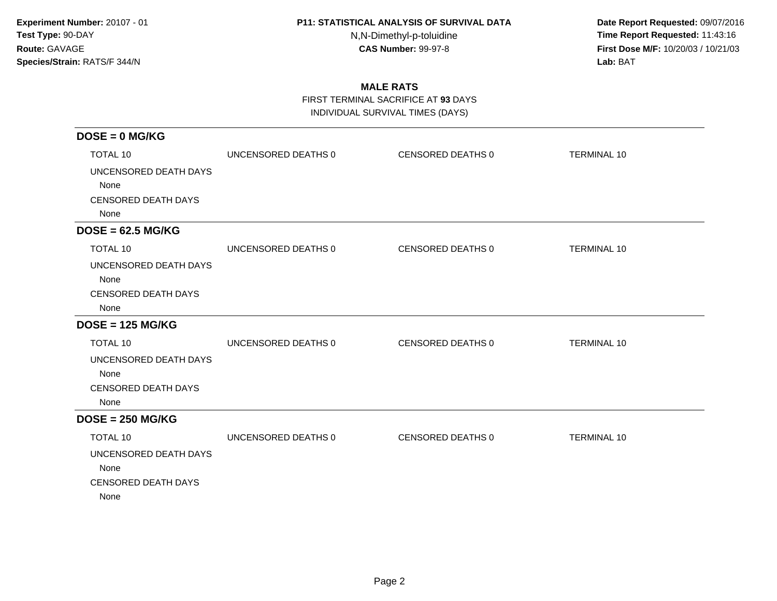N,N-Dimethyl-p-toluidine

 **Date Report Requested:** 09/07/2016 **Time Report Requested:** 11:43:16 **First Dose M/F:** 10/20/03 / 10/21/03<br>**Lab:** BAT **Lab:** BAT

# **MALE RATS**

FIRST TERMINAL SACRIFICE AT **93** DAYS

INDIVIDUAL SURVIVAL TIMES (DAYS)

| $DOSE = 0$ MG/KG           |                     |                   |                    |
|----------------------------|---------------------|-------------------|--------------------|
| <b>TOTAL 10</b>            | UNCENSORED DEATHS 0 | CENSORED DEATHS 0 | <b>TERMINAL 10</b> |
| UNCENSORED DEATH DAYS      |                     |                   |                    |
| None                       |                     |                   |                    |
| <b>CENSORED DEATH DAYS</b> |                     |                   |                    |
| None                       |                     |                   |                    |
| $DOSE = 62.5 MG/KG$        |                     |                   |                    |
| <b>TOTAL 10</b>            | UNCENSORED DEATHS 0 | CENSORED DEATHS 0 | <b>TERMINAL 10</b> |
| UNCENSORED DEATH DAYS      |                     |                   |                    |
| None                       |                     |                   |                    |
| <b>CENSORED DEATH DAYS</b> |                     |                   |                    |
| None                       |                     |                   |                    |
| $DOSE = 125 MG/KG$         |                     |                   |                    |
| <b>TOTAL 10</b>            | UNCENSORED DEATHS 0 | CENSORED DEATHS 0 | <b>TERMINAL 10</b> |
| UNCENSORED DEATH DAYS      |                     |                   |                    |
| None                       |                     |                   |                    |
| <b>CENSORED DEATH DAYS</b> |                     |                   |                    |
| None                       |                     |                   |                    |
| $DOSE = 250 MG/KG$         |                     |                   |                    |
| TOTAL 10                   | UNCENSORED DEATHS 0 | CENSORED DEATHS 0 | <b>TERMINAL 10</b> |
| UNCENSORED DEATH DAYS      |                     |                   |                    |
| None                       |                     |                   |                    |
| <b>CENSORED DEATH DAYS</b> |                     |                   |                    |
| None                       |                     |                   |                    |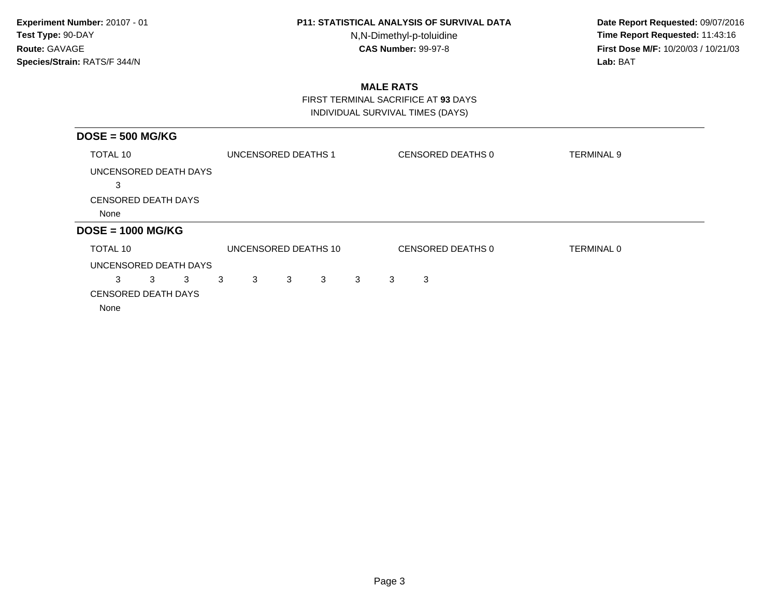N,N-Dimethyl-p-toluidine

 **Date Report Requested:** 09/07/2016 **Time Report Requested:** 11:43:16 **First Dose M/F:** 10/20/03 / 10/21/03<br>**Lab:** BAT **Lab:** BAT

# **MALE RATS**

 FIRST TERMINAL SACRIFICE AT **93** DAYSINDIVIDUAL SURVIVAL TIMES (DAYS)

| $DOSE = 500 MG/KG$         |        |                      |   |   |   |   |                   |                   |  |
|----------------------------|--------|----------------------|---|---|---|---|-------------------|-------------------|--|
| TOTAL 10                   |        | UNCENSORED DEATHS 1  |   |   |   |   | CENSORED DEATHS 0 | <b>TERMINAL 9</b> |  |
| UNCENSORED DEATH DAYS      |        |                      |   |   |   |   |                   |                   |  |
| 3                          |        |                      |   |   |   |   |                   |                   |  |
| CENSORED DEATH DAYS        |        |                      |   |   |   |   |                   |                   |  |
| None                       |        |                      |   |   |   |   |                   |                   |  |
| $DOSE = 1000 MG/KG$        |        |                      |   |   |   |   |                   |                   |  |
| TOTAL 10                   |        | UNCENSORED DEATHS 10 |   |   |   |   | CENSORED DEATHS 0 | <b>TERMINAL 0</b> |  |
| UNCENSORED DEATH DAYS      |        |                      |   |   |   |   |                   |                   |  |
| 3<br>3<br>3                | 3<br>3 | 3                    | 3 | 3 | 3 | 3 |                   |                   |  |
| <b>CENSORED DEATH DAYS</b> |        |                      |   |   |   |   |                   |                   |  |
| None                       |        |                      |   |   |   |   |                   |                   |  |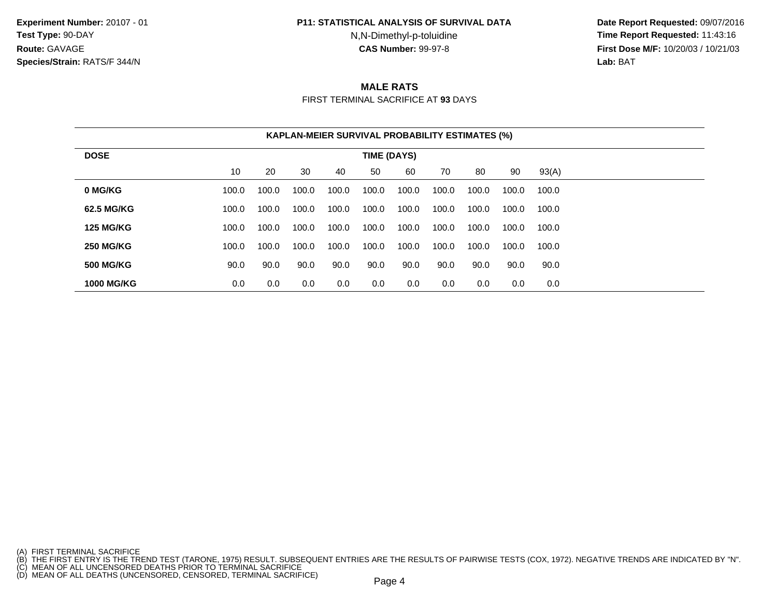#### **P11: STATISTICAL ANALYSIS OF SURVIVAL DATA**

N,N-Dimethyl-p-toluidine

 **Date Report Requested:** 09/07/2016 **Time Report Requested:** 11:43:16 **First Dose M/F:** 10/20/03 / 10/21/03<br>**Lab:** BAT **Lab:** BAT

## **MALE RATS**

FIRST TERMINAL SACRIFICE AT **93** DAYS

|                   | <b>KAPLAN-MEIER SURVIVAL PROBABILITY ESTIMATES (%)</b> |       |       |       |       |       |       |       |       |       |  |  |
|-------------------|--------------------------------------------------------|-------|-------|-------|-------|-------|-------|-------|-------|-------|--|--|
| <b>DOSE</b>       | TIME (DAYS)                                            |       |       |       |       |       |       |       |       |       |  |  |
|                   | 10                                                     | 20    | 30    | 40    | 50    | 60    | 70    | 80    | 90    | 93(A) |  |  |
| 0 MG/KG           | 100.0                                                  | 100.0 | 100.0 | 100.0 | 100.0 | 100.0 | 100.0 | 100.0 | 100.0 | 100.0 |  |  |
| 62.5 MG/KG        | 100.0                                                  | 100.0 | 100.0 | 100.0 | 100.0 | 100.0 | 100.0 | 100.0 | 100.0 | 100.0 |  |  |
| <b>125 MG/KG</b>  | 100.0                                                  | 100.0 | 100.0 | 100.0 | 100.0 | 100.0 | 100.0 | 100.0 | 100.0 | 100.0 |  |  |
| <b>250 MG/KG</b>  | 100.0                                                  | 100.0 | 100.0 | 100.0 | 100.0 | 100.0 | 100.0 | 100.0 | 100.0 | 100.0 |  |  |
| <b>500 MG/KG</b>  | 90.0                                                   | 90.0  | 90.0  | 90.0  | 90.0  | 90.0  | 90.0  | 90.0  | 90.0  | 90.0  |  |  |
| <b>1000 MG/KG</b> | 0.0                                                    | 0.0   | 0.0   | 0.0   | 0.0   | 0.0   | 0.0   | 0.0   | 0.0   | 0.0   |  |  |

<sup>(</sup>A) FIRST TERMINAL SACRIFICE<br>(B) THE FIRST ENTRY IS THE TREND TEST (TARONE, 1975) RESULT. SUBSEQUENT ENTRIES ARE THE RESULTS OF PAIRWISE TESTS (COX, 1972). NEGATIVE TRENDS ARE INDICATED BY "N".<br>(C) MEAN OF ALL UNCENSORED D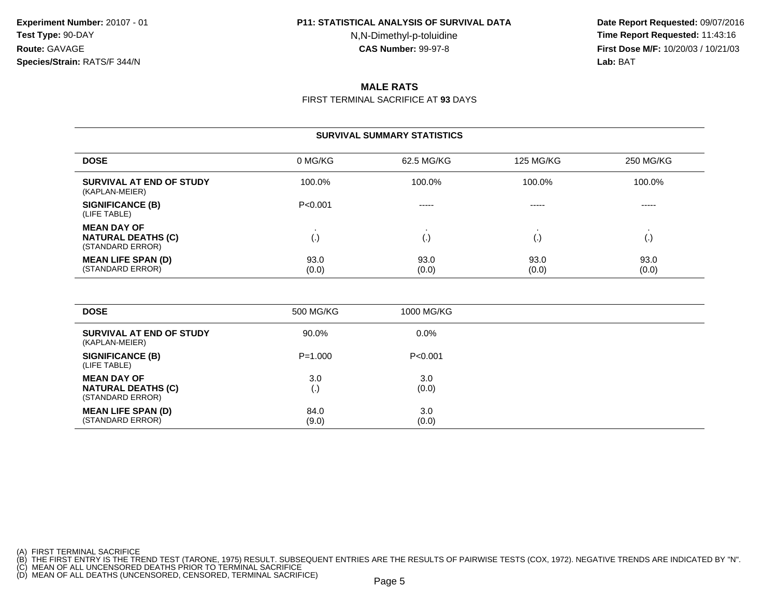N,N-Dimethyl-p-toluidine

 **Date Report Requested:** 09/07/2016 **Time Report Requested:** 11:43:16 **First Dose M/F:** 10/20/03 / 10/21/03<br>**Lab:** BAT **Lab:** BAT

## **MALE RATS**

FIRST TERMINAL SACRIFICE AT **93** DAYS

|                                                                     | <b>SURVIVAL SUMMARY STATISTICS</b> |               |                  |                    |  |  |  |  |  |  |  |  |
|---------------------------------------------------------------------|------------------------------------|---------------|------------------|--------------------|--|--|--|--|--|--|--|--|
| <b>DOSE</b>                                                         | 0 MG/KG                            | 62.5 MG/KG    | <b>125 MG/KG</b> | 250 MG/KG          |  |  |  |  |  |  |  |  |
| SURVIVAL AT END OF STUDY<br>(KAPLAN-MEIER)                          | 100.0%                             | 100.0%        | 100.0%           | 100.0%             |  |  |  |  |  |  |  |  |
| <b>SIGNIFICANCE (B)</b><br>(LIFE TABLE)                             | P < 0.001                          | $- - - - -$   | $- - - - -$      | -----              |  |  |  |  |  |  |  |  |
| <b>MEAN DAY OF</b><br><b>NATURAL DEATHS (C)</b><br>(STANDARD ERROR) | $\left( \cdot \right)$             | (.,           |                  | $\left( . \right)$ |  |  |  |  |  |  |  |  |
| <b>MEAN LIFE SPAN (D)</b><br>(STANDARD ERROR)                       | 93.0<br>(0.0)                      | 93.0<br>(0.0) | 93.0<br>(0.0)    | 93.0<br>(0.0)      |  |  |  |  |  |  |  |  |

| <b>DOSE</b>                                                         | 500 MG/KG                 | 1000 MG/KG   |
|---------------------------------------------------------------------|---------------------------|--------------|
| SURVIVAL AT END OF STUDY<br>(KAPLAN-MEIER)                          | 90.0%                     | $0.0\%$      |
| <b>SIGNIFICANCE (B)</b><br>(LIFE TABLE)                             | $P = 1.000$               | P<0.001      |
| <b>MEAN DAY OF</b><br><b>NATURAL DEATHS (C)</b><br>(STANDARD ERROR) | 3.0<br>$\left( . \right)$ | 3.0<br>(0.0) |
| <b>MEAN LIFE SPAN (D)</b><br>(STANDARD ERROR)                       | 84.0<br>(9.0)             | 3.0<br>(0.0) |

(A) FIRST TERMINAL SACRIFICE<br>(B) THE FIRST ENTRY IS THE TREND TEST (TARONE, 1975) RESULT. SUBSEQUENT ENTRIES ARE THE RESULTS OF PAIRWISE TESTS (COX, 1972). NEGATIVE TRENDS ARE INDICATED BY "N".<br>(C) MEAN OF ALL UNCENSORED D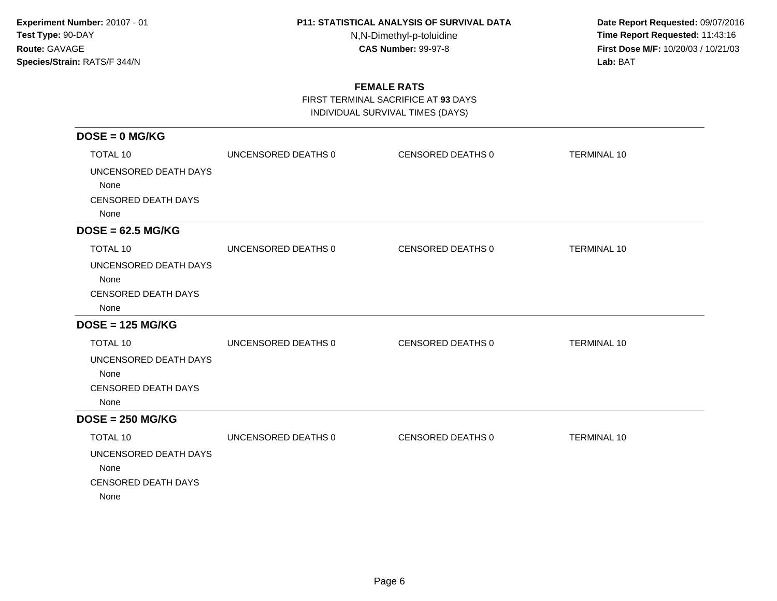N,N-Dimethyl-p-toluidine

 **Date Report Requested:** 09/07/2016 **Time Report Requested:** 11:43:16 **First Dose M/F:** 10/20/03 / 10/21/03<br>**Lab:** BAT **Lab:** BAT

# **FEMALE RATS**

FIRST TERMINAL SACRIFICE AT **93** DAYS

INDIVIDUAL SURVIVAL TIMES (DAYS)

| $DOSE = 0$ MG/KG           |                     |                   |                    |
|----------------------------|---------------------|-------------------|--------------------|
| <b>TOTAL 10</b>            | UNCENSORED DEATHS 0 | CENSORED DEATHS 0 | <b>TERMINAL 10</b> |
| UNCENSORED DEATH DAYS      |                     |                   |                    |
| None                       |                     |                   |                    |
| <b>CENSORED DEATH DAYS</b> |                     |                   |                    |
| None                       |                     |                   |                    |
| $DOSE = 62.5 MG/KG$        |                     |                   |                    |
| <b>TOTAL 10</b>            | UNCENSORED DEATHS 0 | CENSORED DEATHS 0 | <b>TERMINAL 10</b> |
| UNCENSORED DEATH DAYS      |                     |                   |                    |
| None                       |                     |                   |                    |
| <b>CENSORED DEATH DAYS</b> |                     |                   |                    |
| None                       |                     |                   |                    |
| $DOSE = 125 MG/KG$         |                     |                   |                    |
| <b>TOTAL 10</b>            | UNCENSORED DEATHS 0 | CENSORED DEATHS 0 | <b>TERMINAL 10</b> |
| UNCENSORED DEATH DAYS      |                     |                   |                    |
| None                       |                     |                   |                    |
| <b>CENSORED DEATH DAYS</b> |                     |                   |                    |
| None                       |                     |                   |                    |
| $DOSE = 250 MG/KG$         |                     |                   |                    |
| <b>TOTAL 10</b>            | UNCENSORED DEATHS 0 | CENSORED DEATHS 0 | <b>TERMINAL 10</b> |
| UNCENSORED DEATH DAYS      |                     |                   |                    |
| None                       |                     |                   |                    |
| <b>CENSORED DEATH DAYS</b> |                     |                   |                    |
| None                       |                     |                   |                    |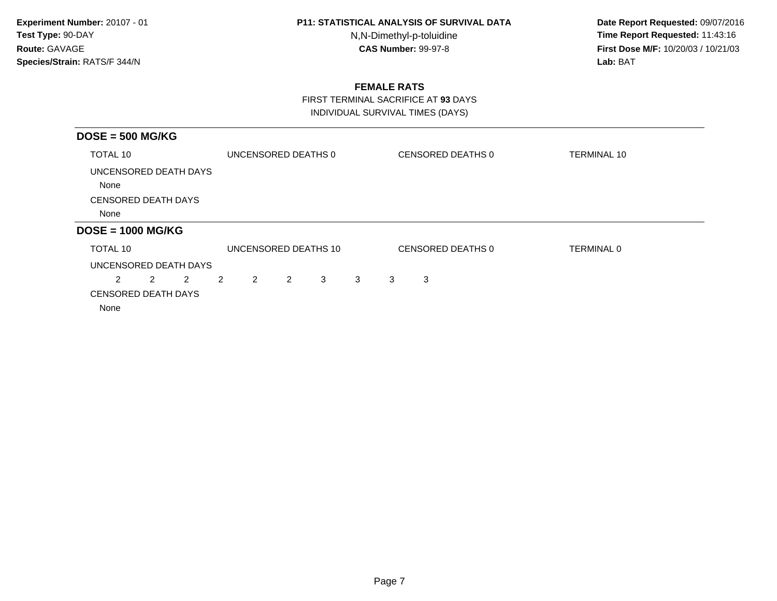N,N-Dimethyl-p-toluidine

 **Date Report Requested:** 09/07/2016 **Time Report Requested:** 11:43:16 **First Dose M/F:** 10/20/03 / 10/21/03<br>**Lab:** BAT **Lab:** BAT

## **FEMALE RATS**

FIRST TERMINAL SACRIFICE AT **93** DAYS

INDIVIDUAL SURVIVAL TIMES (DAYS)

| $DOSE = 500 MG/KG$            |   |                |   |                      |   |   |   |   |                   |                    |
|-------------------------------|---|----------------|---|----------------------|---|---|---|---|-------------------|--------------------|
| TOTAL 10                      |   |                |   | UNCENSORED DEATHS 0  |   |   |   |   | CENSORED DEATHS 0 | <b>TERMINAL 10</b> |
| UNCENSORED DEATH DAYS<br>None |   |                |   |                      |   |   |   |   |                   |                    |
| <b>CENSORED DEATH DAYS</b>    |   |                |   |                      |   |   |   |   |                   |                    |
| None                          |   |                |   |                      |   |   |   |   |                   |                    |
| $DOSE = 1000 MG/KG$           |   |                |   |                      |   |   |   |   |                   |                    |
| TOTAL 10                      |   |                |   | UNCENSORED DEATHS 10 |   |   |   |   | CENSORED DEATHS 0 | TERMINAL 0         |
| UNCENSORED DEATH DAYS         |   |                |   |                      |   |   |   |   |                   |                    |
| $\mathbf{2}^{\circ}$          | 2 | $\overline{2}$ | 2 | 2                    | 2 | 3 | 3 | 3 | 3                 |                    |
| <b>CENSORED DEATH DAYS</b>    |   |                |   |                      |   |   |   |   |                   |                    |
| None                          |   |                |   |                      |   |   |   |   |                   |                    |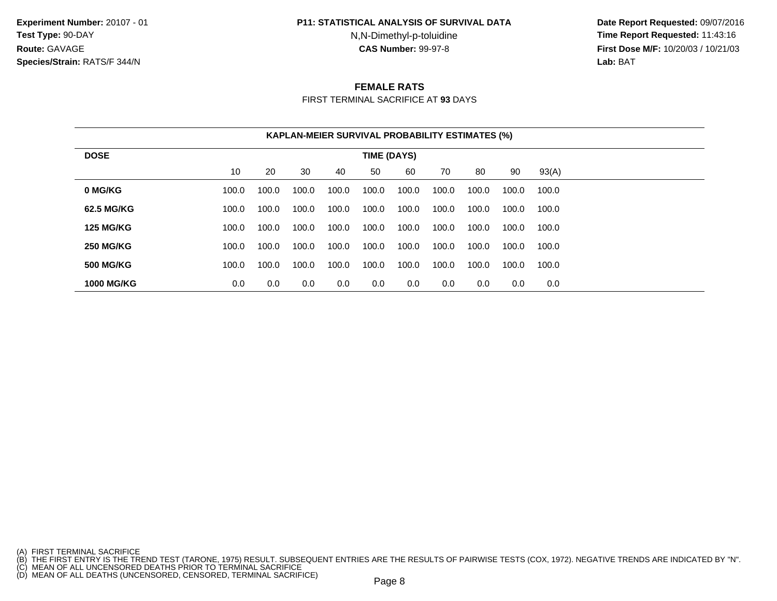#### **P11: STATISTICAL ANALYSIS OF SURVIVAL DATA**

N,N-Dimethyl-p-toluidine

 **Date Report Requested:** 09/07/2016 **Time Report Requested:** 11:43:16 **First Dose M/F:** 10/20/03 / 10/21/03<br>**Lab:** BAT **Lab:** BAT

### **FEMALE RATS**

FIRST TERMINAL SACRIFICE AT **93** DAYS

|                   | <b>KAPLAN-MEIER SURVIVAL PROBABILITY ESTIMATES (%)</b> |       |       |       |       |       |       |       |       |       |  |  |
|-------------------|--------------------------------------------------------|-------|-------|-------|-------|-------|-------|-------|-------|-------|--|--|
| <b>DOSE</b>       | TIME (DAYS)                                            |       |       |       |       |       |       |       |       |       |  |  |
|                   | 10                                                     | 20    | 30    | 40    | 50    | 60    | 70    | 80    | 90    | 93(A) |  |  |
| 0 MG/KG           | 100.0                                                  | 100.0 | 100.0 | 100.0 | 100.0 | 100.0 | 100.0 | 100.0 | 100.0 | 100.0 |  |  |
| 62.5 MG/KG        | 100.0                                                  | 100.0 | 100.0 | 100.0 | 100.0 | 100.0 | 100.0 | 100.0 | 100.0 | 100.0 |  |  |
| <b>125 MG/KG</b>  | 100.0                                                  | 100.0 | 100.0 | 100.0 | 100.0 | 100.0 | 100.0 | 100.0 | 100.0 | 100.0 |  |  |
| <b>250 MG/KG</b>  | 100.0                                                  | 100.0 | 100.0 | 100.0 | 100.0 | 100.0 | 100.0 | 100.0 | 100.0 | 100.0 |  |  |
| <b>500 MG/KG</b>  | 100.0                                                  | 100.0 | 100.0 | 100.0 | 100.0 | 100.0 | 100.0 | 100.0 | 100.0 | 100.0 |  |  |
| <b>1000 MG/KG</b> | 0.0                                                    | 0.0   | 0.0   | 0.0   | 0.0   | 0.0   | 0.0   | 0.0   | 0.0   | 0.0   |  |  |

<sup>(</sup>A) FIRST TERMINAL SACRIFICE<br>(B) THE FIRST ENTRY IS THE TREND TEST (TARONE, 1975) RESULT. SUBSEQUENT ENTRIES ARE THE RESULTS OF PAIRWISE TESTS (COX, 1972). NEGATIVE TRENDS ARE INDICATED BY "N".<br>(C) MEAN OF ALL UNCENSORED D